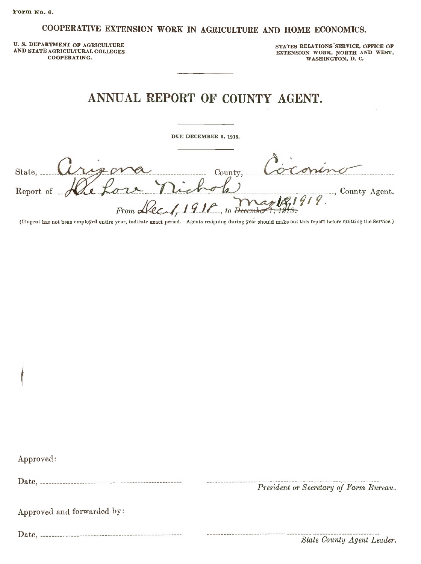#### COOPERATIVE EXTENSION WORK IN AGRICULTURE AND HOME ECONOMICS.

U. S. DEPARTMENT OF AGRICULTURE AND STATE AGRICULTURAL COLLEGES COOPERATING.

STATES RELATIONS SERVICE, OFFICE OF EXTENSION WORK, NORTH AND WEST, WASHINGTON, D. C.

## ANNUAL REPORT OF COUNTY AGENT.

DUE DECEMBER 1, 1918.

 $\begin{array}{cccc}\n\text{MNOAL NEI UNI OF COUNITI AUENI.} \\
-\text{DE DEDEEMBER 1, 1918.}\n\end{array}$ DUE DECEMBER 1, 1918.<br>Report of Hie Lore nichols, Coconing County County.<br>From Lec 1, 1916, to December 1, 1918. Report of He Lore Michal man, County Agent.<br>From Le Man, 1916.<br>(If agent bas not heen employed entire year, indicate exact period. Agents resigning during year should make out this report before quitting the Service.)

Approved:

Date, -----------------------------

President or Secretary oj Farm Bureau.

Approved and forwarded by:

Date, -------------- -------------------------------------

State County Agent Leader.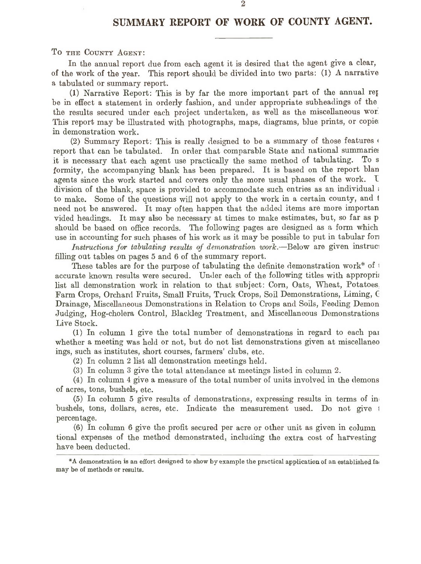### SUMMARY REPORT OF WORK OF COUNTY AGENT.

To THE COUNTY AGENT:

In the annual report due from each agent it is desired that the agent give <sup>a</sup> clear, of the work of the year. This report should be divided into two parts: (1) A narrative <sup>a</sup> tabulated or summary report.

(1) Narrative Report: This is by far the more important part of the annual reI be in effect <sup>a</sup> statement in orderly fashion, and under appropriate subheadings of the the results secured under each project undertaken, as well as the miscellaneous wor' This report may be illustrated with photographs, maps, diagrams, blue prints, or copie: in demonstration work.

(2) Summary Report: This is really designed to be <sup>a</sup> summary of those features <sup>4</sup> report that can be tabulated. In order that comparable State and national summaries it is necessary that each agent use practically the same method of tabulating. To <sup>s</sup> formity, the accompanying blank has been prepared. It is based on the report blan agents since the work started and covers only the more usual phases of the work. I division of the blank, space is provided to accommodate such entries as an individual: to make. Some of the questions will not apply to the work in <sup>a</sup> certain county, and <sup>1</sup> need not be answered. It may often happen that the added items are more importan vided headings. It may also be necessary at times to make estimates, but, so far as <sup>p</sup> should be based on office records. The following pages are designed as <sup>a</sup> form which use in accounting for such phases of his work as it may be possible to put in tabular form

Instructions for tabulating results of demonstration work.-Below are given instruct filling out tables on pages <sup>5</sup> and <sup>6</sup> of the summary report.

These tables are for the purpose of tabulating the definite demonstration work\* of <sup>1</sup> accurate known results were secured. Under each of the following titles with approprii list all demonstration work in relation to that subject: Corn, Oats, Wheat, Potatoes. Farm Crops, Orchard Fruits, Small Fruits, Truck Crops, Soil Demonstrations, Liming, ( Drainage, Miscellaneous Demonstrations in Relation to Crops and Soils, Feeding Demon Judging, Hog-cholera Control, Blackleg Treatment, and Miscellaneous Demonstrations Live Stock.

(1) In column <sup>1</sup> give the total number of demonstrations in regard to each pal whether <sup>a</sup> meeting was held or not, but do not list demonstrations given at miscellaneo ings, such as institutes, short courses, farmers' clubs, etc.

(2) In column <sup>2</sup> list all demonstration meetings held.

(3) In column <sup>3</sup> give the total attendance at meetings listed in column 2.

(4) In column <sup>4</sup> give <sup>a</sup> measure of the total number of units involved in the demons of acres, tons, bushels, etc.

(5) In column <sup>5</sup> give results of demonstrations, expressing results in terms of in. bushels, tons, dollars, acres, etc. Indicate the measurement used. Do not give <sup>j</sup> percentage.

(6) In column <sup>6</sup> give the profit secured per acre or other unit as given in column tional expenses of the method demonstrated, including the extra cost of harvesting have been deducted.

<sup>\*</sup> A demonstration is an effort designed to show by example the practical application of an established fal may be of methods or results.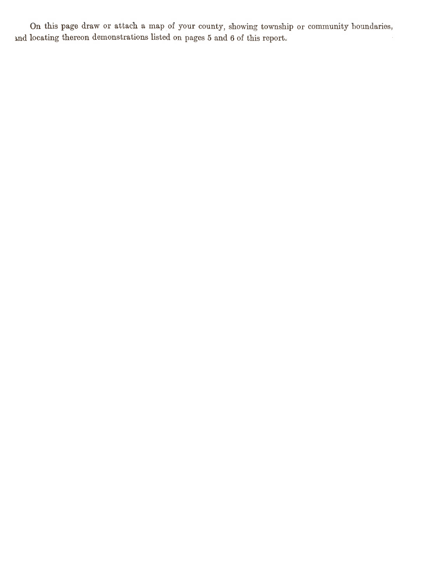On this page draw or attach <sup>a</sup> map of your county, showing township or community boundaries, and locating thereon demonstrations listed on pages <sup>5</sup> and <sup>6</sup> of this report.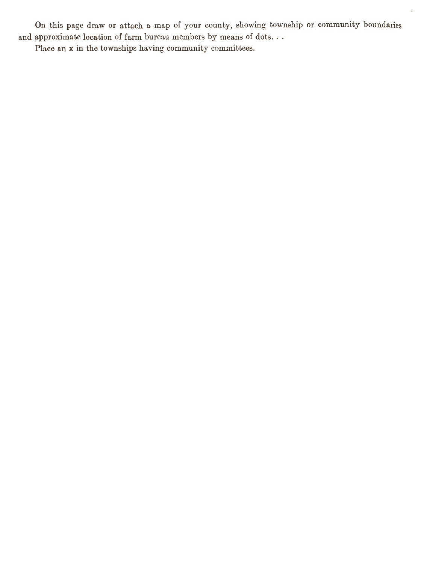On this page draw or attach <sup>a</sup> map of your county, showing township or community boundaries and approximate location of farm bureau members by means of dots. . .

ä,

Place an x in the townships having community committees.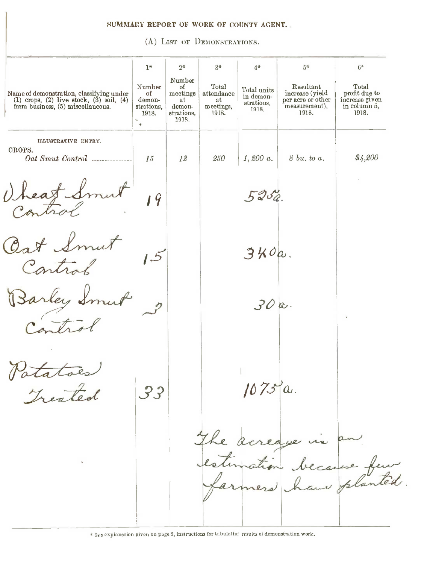#### SUMMARY REPORT OF WORK OF COUNTY AGENT.

(A) LIST OF DEMONSTRATIONS.

|                                                                                                                               | $1*$                                               | $2*$                                                            | $3*$                                            | $4*$                                            | $5*$                                                                        | $6*$                                                              |
|-------------------------------------------------------------------------------------------------------------------------------|----------------------------------------------------|-----------------------------------------------------------------|-------------------------------------------------|-------------------------------------------------|-----------------------------------------------------------------------------|-------------------------------------------------------------------|
| Name of demonstration, classifying under<br>(1) crops, (2) live stock, $(3)$ soil, $(4)$<br>farm business, (5) miscellaneous. | Number<br>оf<br>demon-<br>strations.<br>1918.<br>٠ | Number<br>οf<br>meetings<br>at<br>demon-<br>strations,<br>1918. | Total<br>attendance<br>at<br>meetings,<br>1918. | Total units<br>in demon-<br>strations,<br>1918. | Resultant<br>increase (yield<br>per acre or other<br>measurement),<br>1918. | Total<br>profit due to<br>increase given<br>in column 5,<br>1918. |
| ILLUSTRATIVE ENTRY.<br>CROPS.                                                                                                 |                                                    |                                                                 |                                                 |                                                 |                                                                             |                                                                   |
|                                                                                                                               | 15                                                 | 12                                                              | 250                                             | 1,200 a.                                        | $8 \; bu.$ to a.                                                            | \$4,200                                                           |
| heat Sm<br>$\iota$                                                                                                            | 19                                                 |                                                                 |                                                 | 5250                                            |                                                                             |                                                                   |
| Oat Smut                                                                                                                      |                                                    |                                                                 |                                                 | 3K0a                                            |                                                                             |                                                                   |
| arley &                                                                                                                       |                                                    |                                                                 |                                                 | 30a.                                            |                                                                             |                                                                   |
|                                                                                                                               |                                                    |                                                                 |                                                 |                                                 |                                                                             |                                                                   |
| $H_{\alpha}$ , $H_{\alpha}$                                                                                                   | 3.3                                                |                                                                 |                                                 | 1075a.                                          |                                                                             |                                                                   |
|                                                                                                                               |                                                    |                                                                 |                                                 |                                                 | The acreage is an                                                           |                                                                   |
|                                                                                                                               |                                                    |                                                                 |                                                 |                                                 | estimation because feur                                                     |                                                                   |

\* Sec explanation given on page 2, instructions for tabulutiur results of demonstration work.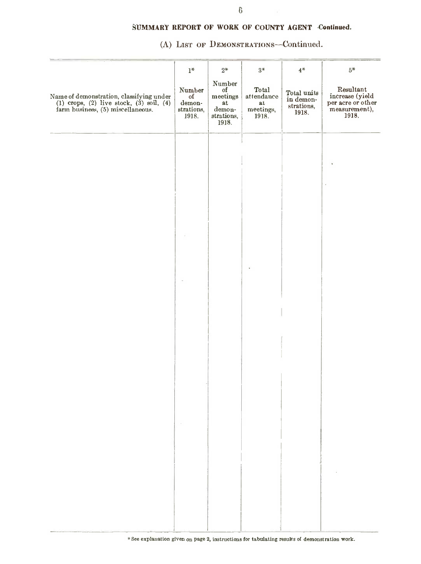(A) LIST OF DEMONSTRATIONS-Continued.

|                                                                                                                        | $1^*$                                         | $2^\ast$                                                                            | $3*$                                             | $4\,^{\ast}$                                    | $5*$                                                                        |
|------------------------------------------------------------------------------------------------------------------------|-----------------------------------------------|-------------------------------------------------------------------------------------|--------------------------------------------------|-------------------------------------------------|-----------------------------------------------------------------------------|
| Name of demonstration, classifying under<br>(1) crops, (2) live stock, (3) soil, (4) farm business, (5) miscellaneous. | Number<br>of<br>demon-<br>strations,<br>1918. | Number<br>of<br>meetings<br>$\mathbf{a}\mathbf{t}$<br>demon-<br>strations,<br>1918. | Total<br>attendance<br>at.<br>meetings, $1918$ . | Total units<br>in demon-<br>strations,<br>1918. | Resultant<br>increase (yield<br>per acre or other<br>measurement),<br>1918. |
|                                                                                                                        |                                               |                                                                                     |                                                  |                                                 |                                                                             |
|                                                                                                                        |                                               |                                                                                     |                                                  |                                                 |                                                                             |
|                                                                                                                        |                                               |                                                                                     |                                                  |                                                 |                                                                             |
|                                                                                                                        |                                               |                                                                                     |                                                  |                                                 |                                                                             |
|                                                                                                                        |                                               |                                                                                     |                                                  |                                                 |                                                                             |
|                                                                                                                        |                                               |                                                                                     |                                                  |                                                 |                                                                             |
|                                                                                                                        |                                               |                                                                                     |                                                  |                                                 |                                                                             |
|                                                                                                                        |                                               |                                                                                     |                                                  |                                                 |                                                                             |
|                                                                                                                        |                                               |                                                                                     |                                                  |                                                 |                                                                             |
|                                                                                                                        |                                               |                                                                                     |                                                  |                                                 |                                                                             |
|                                                                                                                        |                                               |                                                                                     |                                                  |                                                 |                                                                             |
|                                                                                                                        |                                               |                                                                                     |                                                  |                                                 |                                                                             |
|                                                                                                                        |                                               |                                                                                     |                                                  |                                                 |                                                                             |
|                                                                                                                        |                                               |                                                                                     |                                                  |                                                 |                                                                             |
|                                                                                                                        |                                               |                                                                                     |                                                  |                                                 |                                                                             |
|                                                                                                                        |                                               |                                                                                     |                                                  |                                                 |                                                                             |
|                                                                                                                        |                                               |                                                                                     |                                                  |                                                 |                                                                             |
|                                                                                                                        |                                               |                                                                                     |                                                  |                                                 |                                                                             |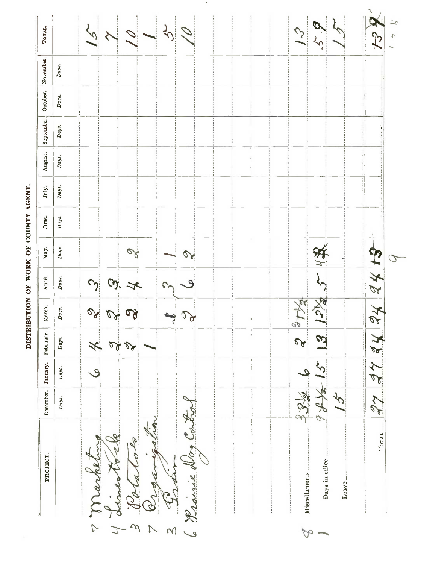DISTRIBUTION OF WORK OF COUNTY AGENT.

l,

| Days.<br>Days.<br>$_{Day.}$<br>Days.<br>Days.<br>Days.<br>Days.<br>Ø<br>子对<br>$\mathcal Q$<br>Days.<br>$\gamma$<br>$\omega$<br>$\mathcal{Q}$<br><b>ANC</b><br>Days.<br>axi<br>$\frac{2}{\sqrt{2}}$<br><b>DA</b><br>$D^{2}$<br>$\mathcal{P}$<br>S<br>$\mathcal{C}$<br>Days.<br>242<br>$\overline{\mathscr{K}}$<br>$\mathcal{L}$<br>$\overline{\mathbf{y}}$<br>5 <sub>1</sub><br>Days.<br>ٯ<br>$\mathcal{L}$<br>$_{Days.}$<br>et:<br>c<br>TOTAL.<br>Lø<br>$\mathbf{6}$<br>Days in office.<br>Miscellaneous.<br>ę<br>Leave.<br>$\frac{1}{2}$<br>m | PROJECT. | December. | January. | February. | March. | April. | Мау. | June. | July. | August. | September. | October. November. | ТОТАЬ.        |
|------------------------------------------------------------------------------------------------------------------------------------------------------------------------------------------------------------------------------------------------------------------------------------------------------------------------------------------------------------------------------------------------------------------------------------------------------------------------------------------------------------------------------------------------|----------|-----------|----------|-----------|--------|--------|------|-------|-------|---------|------------|--------------------|---------------|
|                                                                                                                                                                                                                                                                                                                                                                                                                                                                                                                                                |          |           |          |           |        |        |      |       |       |         |            |                    |               |
|                                                                                                                                                                                                                                                                                                                                                                                                                                                                                                                                                |          |           |          |           |        |        |      |       |       |         |            |                    |               |
|                                                                                                                                                                                                                                                                                                                                                                                                                                                                                                                                                |          |           |          |           |        |        |      |       |       |         |            |                    |               |
|                                                                                                                                                                                                                                                                                                                                                                                                                                                                                                                                                |          |           |          |           |        |        |      |       |       |         |            |                    | $\lambda$     |
|                                                                                                                                                                                                                                                                                                                                                                                                                                                                                                                                                |          |           |          |           |        |        |      |       |       |         |            |                    |               |
|                                                                                                                                                                                                                                                                                                                                                                                                                                                                                                                                                |          |           |          |           |        |        |      |       |       |         |            |                    | $\mathcal{P}$ |
|                                                                                                                                                                                                                                                                                                                                                                                                                                                                                                                                                |          |           |          |           |        |        |      |       |       |         |            |                    | 1             |

 $\bullet$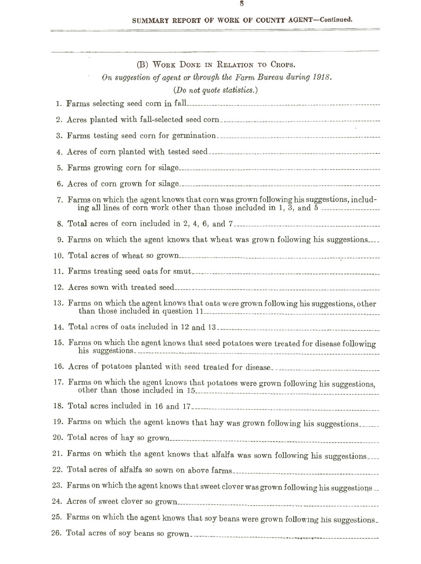| (B) WORK DONE IN RELATION TO CROPS.<br>On suggestion of agent or through the Farm Bureau during 1918.<br>(Do not quote statistics.) |
|-------------------------------------------------------------------------------------------------------------------------------------|
|                                                                                                                                     |
|                                                                                                                                     |
|                                                                                                                                     |
|                                                                                                                                     |
|                                                                                                                                     |
|                                                                                                                                     |
| 7. Farms on which the agent knows that corn was grown following his suggestions, includ-                                            |
|                                                                                                                                     |
| 9. Farms on which the agent knows that wheat was grown following his suggestions                                                    |
|                                                                                                                                     |
|                                                                                                                                     |
|                                                                                                                                     |
|                                                                                                                                     |
|                                                                                                                                     |
| 15. Farms on which the agent knows that seed potatoes were treated for disease following                                            |
|                                                                                                                                     |
| 17. Farms on which the agent knows that potatoes were grown following his suggestions,<br>other than those included in 15.          |
| 18. Total acres included in 16 and 17.                                                                                              |
| 19. Farms on which the agent knows that hay was grown following his suggestions                                                     |
|                                                                                                                                     |
| 21. Farms on which the agent knows that alfalfa was sown following his suggestions                                                  |
|                                                                                                                                     |
| 23. Farms on which the agent knows that sweet clover was grown following his suggestions                                            |
|                                                                                                                                     |
| 25. Farms on which the agent knows that soy beans were grown following his suggestions.                                             |
|                                                                                                                                     |
|                                                                                                                                     |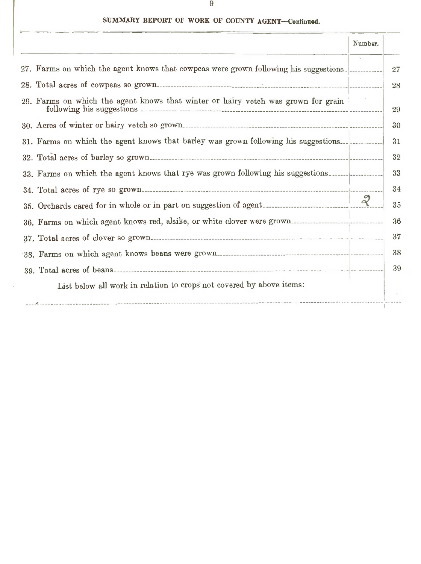|                                                                                       | Number. |    |
|---------------------------------------------------------------------------------------|---------|----|
| 27. Farms on which the agent knows that cowpeas were grown following his suggestions. |         | 27 |
|                                                                                       |         | 28 |
| 29. Farms on which the agent knows that winter or hairy vetch was grown for grain     |         | 29 |
|                                                                                       |         | 30 |
| 31. Farms on which the agent knows that barley was grown following his suggestions.   |         | 31 |
|                                                                                       |         | 32 |
| 33. Farms on which the agent knows that rye was grown following his suggestions       |         | 33 |
|                                                                                       |         | 34 |
|                                                                                       |         | 35 |
| 36. Farms on which agent knows red, alsike, or white clover were grown                |         | 36 |
|                                                                                       |         | 37 |
|                                                                                       |         | 38 |
|                                                                                       |         | 39 |
| List below all work in relation to crops not covered by above items:                  |         |    |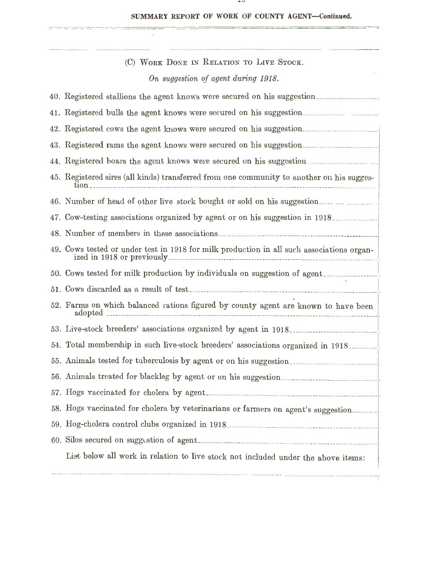**Contract Contract** 

| (C) WORK DONE IN RELATION TO LIVE STOCK.                                                                                |
|-------------------------------------------------------------------------------------------------------------------------|
| On suggestion of agent during 1918.                                                                                     |
| 40. Registered stallions the agent knows were secured on his suggestion                                                 |
|                                                                                                                         |
| 42. Registered cows the agent knows were secured on his suggestion                                                      |
| 43. Registered rams the agent knows were secured on his suggestion                                                      |
|                                                                                                                         |
| 44. Registered boars the agent knows were secured on his suggestion.                                                    |
| 45. Registered sires (all kinds) transferred from one community to another on his sugges-                               |
| 46. Number of head of other live stock bought or sold on his suggestion                                                 |
| 47. Cow-testing associations organized by agent or on his suggestion in 1918.                                           |
|                                                                                                                         |
| 49. Cows tested or under test in 1918 for milk production in all such associations organ-<br>ized in 1918 or previously |
|                                                                                                                         |
|                                                                                                                         |
| 52. Farms on which balanced rations figured by county agent are known to have been                                      |
|                                                                                                                         |
| 54. Total membership in such live-stock breeders' associations organized in 1918.                                       |
|                                                                                                                         |
| 56. Animals treated for blackleg by agent or on his suggestion                                                          |
|                                                                                                                         |
| 58. Hogs vaccinated for cholera by veterinarians or farmers on agent's suggestion                                       |
|                                                                                                                         |
|                                                                                                                         |
| List below all work in relation to live stock not included under the above items:                                       |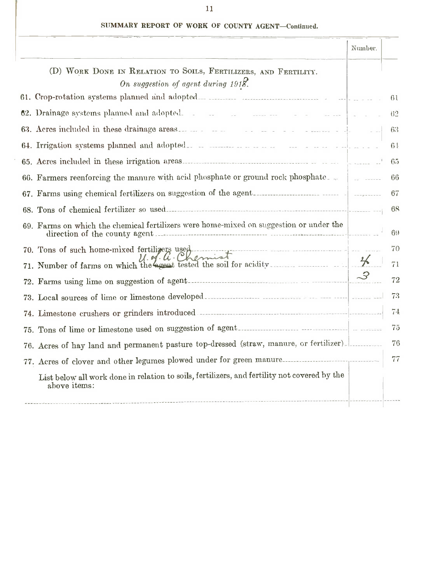÷

--

٠

|                                                                                                                                                                                           | Number. |                |
|-------------------------------------------------------------------------------------------------------------------------------------------------------------------------------------------|---------|----------------|
| (D) WORK DONE IN RELATION TO SOILS, FERTILIZERS, AND FERTILITY.<br>On suggestion of agent during 1918.                                                                                    |         |                |
|                                                                                                                                                                                           |         | 61             |
| 62. Drainage systems planned and adopted.                                                                                                                                                 |         | 62             |
|                                                                                                                                                                                           |         | 63             |
|                                                                                                                                                                                           |         | 6 <sup>1</sup> |
|                                                                                                                                                                                           |         | -65            |
| 66. Farmers reenforcing the manure with acid phosphate or ground rock phosphate.                                                                                                          |         | 66             |
|                                                                                                                                                                                           |         | 67             |
| 68. Tons of chemical fertilizer so used                                                                                                                                                   |         | 68             |
| 69. Farms on which the chemical fertilizers were home-mixed on suggestion or under the                                                                                                    |         | 69             |
| 70. Tons of such home-mixed fertilizers used<br>$\mathcal{U} \cdot \mathcal{U} \cdot \mathcal{U} \cdot \mathcal{U}$<br>71. Number of farms on which the agent tested the soil for acidity |         | 70<br>71       |
|                                                                                                                                                                                           |         | 72             |
|                                                                                                                                                                                           |         | 73             |
|                                                                                                                                                                                           |         | 74             |
|                                                                                                                                                                                           |         | 75             |
| 76. Acres of hay land and permanent pasture top-dressed (straw, manure, or fertilizer)                                                                                                    |         | 76             |
|                                                                                                                                                                                           |         | 77             |
| List below all work done in relation to soils, fertilizers, and fertility not covered by the<br>above items:                                                                              |         |                |
|                                                                                                                                                                                           |         |                |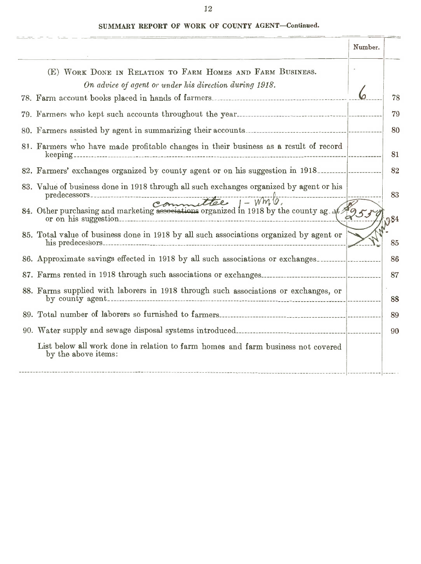|                                                                                                                               | Number. |     |
|-------------------------------------------------------------------------------------------------------------------------------|---------|-----|
| (E) WORK DONE IN RELATION TO FARM HOMES AND FARM BUSINESS.                                                                    |         |     |
| On advice of agent or under his direction during 1918.                                                                        |         | 78  |
|                                                                                                                               |         | 79  |
|                                                                                                                               |         | 80  |
| 81. Farmers who have made profitable changes in their business as a result of record                                          |         | 81  |
| 82. Farmers' exchanges organized by county agent or on his suggestion in 1918                                                 |         | 82  |
| 83. Value of business done in 1918 through all such exchanges organized by agent or his                                       |         | 83  |
| predecessors.<br>84. Other purchasing and marketing associations organized in 1918 by the county ag. at or on his suggestion. | 29530   | 384 |
| 85. Total value of business done in 1918 by all such associations organized by agent or                                       |         | 85  |
| 86. Approximate savings effected in 1918 by all such associations or exchanges                                                |         | 86  |
|                                                                                                                               |         | 87  |
| 88. Farms supplied with laborers in 1918 through such associations or exchanges, or                                           |         | 88  |
|                                                                                                                               |         | 89  |
|                                                                                                                               |         | 90  |
| List below all work done in relation to farm homes and farm business not covered<br>by the above items:                       |         |     |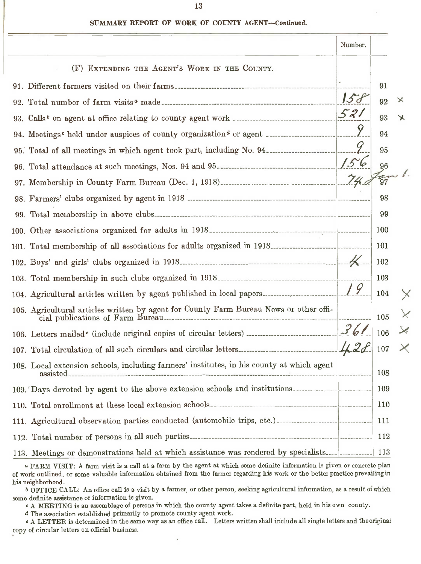|                                                                                           | Number. |              |   |
|-------------------------------------------------------------------------------------------|---------|--------------|---|
| (F) EXTENDING THE AGENT'S WORK IN THE COUNTY.                                             |         |              |   |
|                                                                                           |         | 91           |   |
|                                                                                           | 15d     | 92           | × |
|                                                                                           | 521     | 93           | ✕ |
|                                                                                           |         | 94           |   |
|                                                                                           |         | 95           |   |
|                                                                                           |         | 96           |   |
|                                                                                           |         | $rac{1}{97}$ |   |
|                                                                                           |         | 98           |   |
|                                                                                           |         | 99           |   |
|                                                                                           |         | 100          |   |
|                                                                                           |         | 101          |   |
|                                                                                           |         | 102          |   |
|                                                                                           |         | 103          |   |
|                                                                                           |         | 104          |   |
|                                                                                           |         | 105          |   |
|                                                                                           |         | 106          |   |
|                                                                                           |         | 107          |   |
| 108. Local extension schools, including farmers' institutes, in his county at which agent |         | 108          |   |
| 109. Days devoted by agent to the above extension schools and institutions.               |         | 109          |   |
|                                                                                           |         | 110          |   |
|                                                                                           |         | 111          |   |
|                                                                                           |         | 112          |   |
| 113. Meetings or demonstrations held at which assistance was rendered by specialists      |         | 113          |   |

<sup>a</sup> FARM VISIT: A farm visit is a call at <sup>a</sup> farm by the agent at which some definite information is given or concrete plan of work outlined, or some valuable information obtained from the farmer regarding his work or the better practice prevailing in his neighborhood.

<sup>b</sup> OFFICE CALL: An office call is <sup>a</sup> visit by <sup>a</sup> farmer, or other person, seeking agricultural information, as <sup>a</sup> result of which some definite assistance or information is given.

<sup>c</sup> A MEETING is an assemblage of persons in which the county agent takes <sup>a</sup> definite part, held in his own county.

<sup>d</sup> The association established primarily to promote county agent work.

<sup>e</sup> A LETTER is determined in the same way as an office call. Letters written shall include all single letters and theoriginai copy of circular letters on official business.

13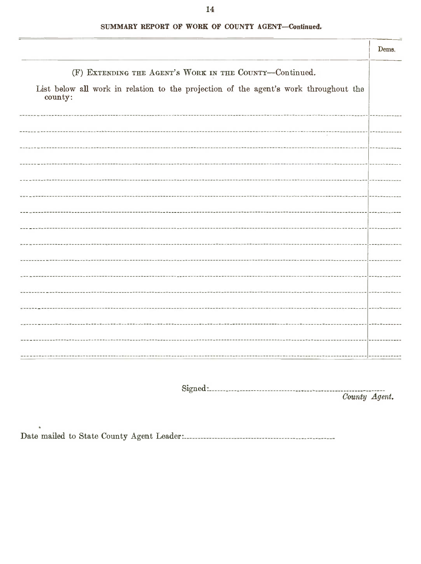|                                                                                                 | Dems. |
|-------------------------------------------------------------------------------------------------|-------|
| (F) EXTENDING THE AGENT'S WORK IN THE COUNTY-Continued.                                         |       |
| List below all work in relation to the projection of the agent's work throughout the<br>county: |       |
|                                                                                                 |       |
|                                                                                                 |       |
|                                                                                                 |       |
|                                                                                                 |       |
|                                                                                                 |       |
|                                                                                                 |       |
|                                                                                                 |       |
|                                                                                                 |       |
|                                                                                                 |       |
|                                                                                                 |       |
|                                                                                                 |       |
|                                                                                                 |       |
|                                                                                                 |       |
|                                                                                                 |       |
|                                                                                                 |       |

Sign.ed : \_

Oounty Agent.

Date mailed to State County Agent Leader: \_

14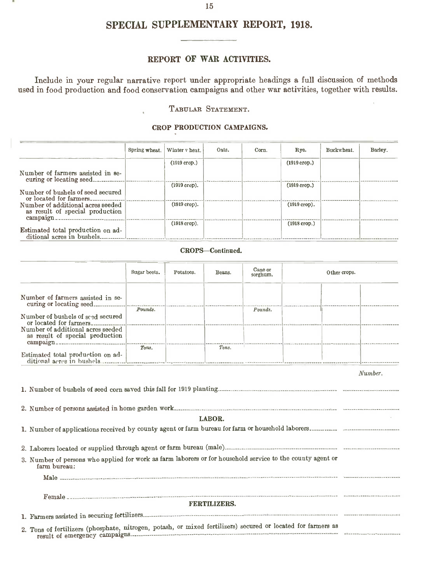## SPECIAL SUPPLEMENTARY REPORT, 1918.

#### REPORT OF WAR ACTIVITIES.

Include in your regular narrative report under appropriate headings <sup>a</sup> full discussion of methods used in food production and food conservation campaigns and other war activities, together with results.

TABULAR STATEMENT.

#### CROP PRODUCTION CAMPAIGNS.

|                                                                                  | Spring wheat. | Winter v heat. | Oats. | Corn. | Rye.           | Buckwheat. | Barley. |
|----------------------------------------------------------------------------------|---------------|----------------|-------|-------|----------------|------------|---------|
|                                                                                  |               | $(1919$ crop.) |       |       | $(1919$ crop.) |            |         |
| Number of farmers assisted in se-<br>curing or locating seed.                    |               |                |       |       |                |            |         |
|                                                                                  |               | $(1919$ crop). |       |       | $(1919$ crop.) |            |         |
| Number of bushels of seed secured<br>or located for farmers.                     |               |                |       |       |                |            |         |
| Number of additional acres seeded<br>as result of special production<br>campaign |               | $(1919$ crop). |       |       | $(1919$ crop). |            |         |
|                                                                                  |               | $(1918$ crop). |       |       | $(1918$ crop.) |            |         |
| Estimated total production on ad-<br>ditional acres in bushels.                  |               |                |       |       |                |            |         |

#### CROPS-Continued.

|                                                                                                                            | Sugar beets. | Potatoes. | Beans.              | Cane or<br>sorghum. | Other crops. |         |
|----------------------------------------------------------------------------------------------------------------------------|--------------|-----------|---------------------|---------------------|--------------|---------|
| Number of farmers assisted in se-                                                                                          |              |           |                     |                     |              |         |
| Number of bushels of seed secured                                                                                          |              |           |                     | Pounds.             |              |         |
| Number of additional acres seeded<br>as result of special production                                                       |              |           |                     |                     |              |         |
| Estimated total production on ad-                                                                                          |              |           |                     |                     |              |         |
|                                                                                                                            |              |           |                     |                     |              | Number. |
|                                                                                                                            |              |           | LABOR.              |                     |              |         |
| 3. Number of persons who applied for work as farm laborers or for household service to the county agent or<br>farm bureau: |              |           |                     |                     |              |         |
|                                                                                                                            |              |           |                     |                     |              |         |
|                                                                                                                            |              |           | <b>FERTILIZERS.</b> |                     |              |         |
|                                                                                                                            |              |           |                     |                     |              |         |
| 2. Tons of fertilizers (phosphate, nitrogen, potash, or mixed fertilizers) secured or located for farmers as               |              |           |                     |                     |              |         |